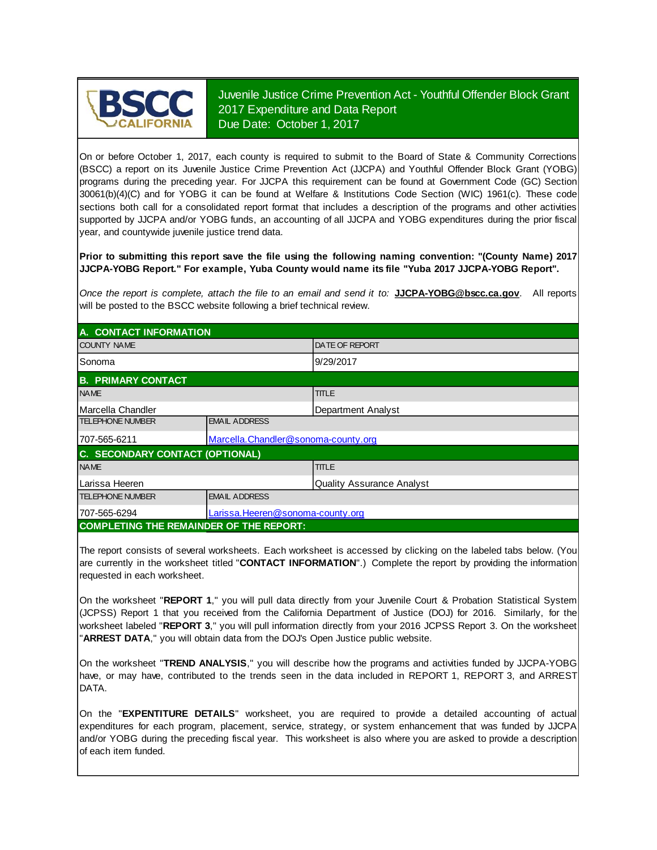

Juvenile Justice Crime Prevention Act - Youthful Offender Block Grant 2017 Expenditure and Data Report Due Date: October 1, 2017

On or before October 1, 2017, each county is required to submit to the Board of State & Community Corrections (BSCC) <sup>a</sup> report on its Juvenile Justice Crime Prevention Act (JJCPA) and Youthful Offender Block Grant (YOBG) programs during the preceding year. For JJCPA this requirement can be found at Government Code (GC) Section 30061(b)(4)(C) and for YOBG it can be found at Welfare & Institutions Code Section (WIC) 1961(c). These code sections both call for <sup>a</sup> consolidated report format that includes <sup>a</sup> description of the programs and other activities supported by JJCPA and/or YOBG funds, an accounting of all JJCPA and YOBG expenditures during the prior fiscal year, and countywide juvenile justice trend data.

**Prior to submitting this report save the file using the following naming convention: "(County Name) 2017 JJCPA-YOBG Report." For example, Yuba County would name its file "Yuba 2017 JJCPA-YOBG Report".**

*Once the report is complete, attach the file t o an email and send it to:* **JJCPA-YOBG@bscc.ca.gov**. All reports will be posted to the BSCC website following a brief technical review.

| A. CONTACT INFORMATION                         |                                     |                           |  |  |
|------------------------------------------------|-------------------------------------|---------------------------|--|--|
| <b>COUNTY NAME</b>                             |                                     | <b>DATE OF REPORT</b>     |  |  |
| Sonoma                                         |                                     | 9/29/2017                 |  |  |
| <b>B. PRIMARY CONTACT</b>                      |                                     |                           |  |  |
| <b>NAME</b>                                    |                                     | <b>TITLE</b>              |  |  |
| Marcella Chandler                              |                                     | Department Analyst        |  |  |
| <b>TELEPHONE NUMBER</b>                        | <b>EMAIL ADDRESS</b>                |                           |  |  |
| 707-565-6211                                   | Marcella.Chandler@sonoma-county.org |                           |  |  |
| C. SECONDARY CONTACT (OPTIONAL)                |                                     |                           |  |  |
| <b>NAME</b>                                    |                                     | <b>TITLE</b>              |  |  |
| ILarissa Heeren                                |                                     | Quality Assurance Analyst |  |  |
| <b>TELEPHONE NUMBER</b>                        | <b>EMAIL ADDRESS</b>                |                           |  |  |
| 707-565-6294                                   | Larissa.Heeren@sonoma-county.org    |                           |  |  |
| <b>COMPLETING THE REMAINDER OF THE REPORT:</b> |                                     |                           |  |  |

The report consists of several worksheets. Each worksheet is accessed by clicking on the labeled tabs below. (You are currently in the worksheet titled "**CONTACT INFORMATION**".) Complete the report by providing the information requested in each worksheet.

On the worksheet "**REPORT 1**, " you will pull data directly from your Juvenile Court & Probation Statistical System (JCPSS) Report 1 that you received from the California Department of Justice (DOJ) for 2016. Similarly, for the worksheet labeled "**REPORT 3**, " you will pull information directly from your 2016 JCPSS Report 3. On the worksheet "**ARREST DATA**," you will obtain data from the DOJ's Open Justice public website.

On the worksheet "**TREND ANALYSIS**, " you will describe how the programs and activities funded by JJCPA-YOBG have, or may have, contributed to the trends seen in the data included in REPORT 1, REPORT 3, and ARREST DATA.

On the "EXPENTITURE DETAILS" worksheet, you are required to provide a detailed accounting of actual expenditures for each program, placement, service, strategy, or system enhancement that was funded by JJCPA and/or YOBG during the preceding fiscal year. This worksheet is also where you are asked to provide a description of each item funded.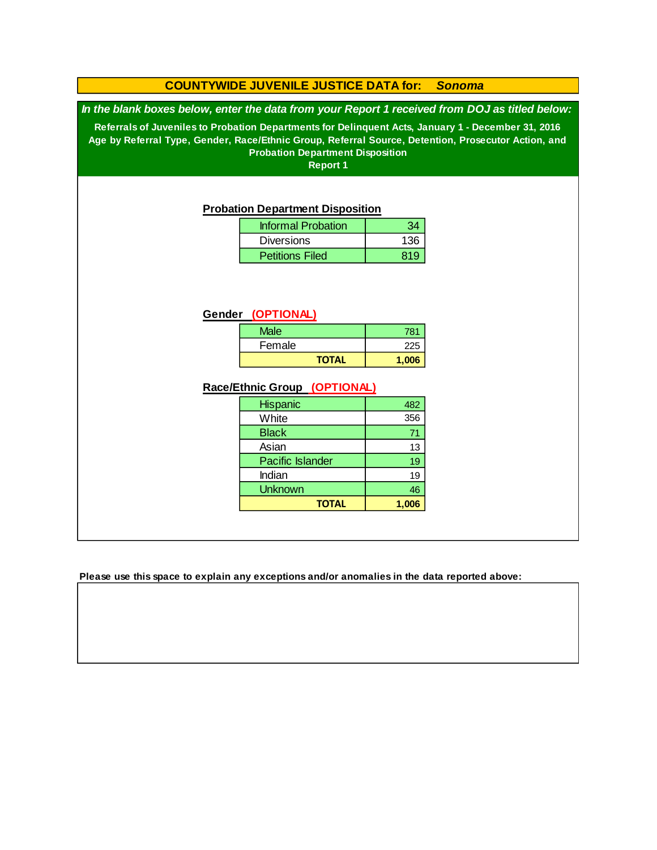#### **COUNTYWIDE JUVENILE JUSTICE DATA for:** *Sonoma*

*In the blank boxes below, enter the data from your Report 1 received from DOJ as titled below:*

**Referrals of Juveniles to Probation Departments for Delinquent Acts, January 1 - December 31, 2016 Age by Referral Type, Gender, Race/Ethnic Group, Referral Source, Detention, Prosecutor Action, and Probation Department Disposition**

**Report 1**

#### **Probation Department Disposition**

| <b>Informal Probation</b> |     |
|---------------------------|-----|
| <b>Diversions</b>         | 136 |
| <b>Petitions Filed</b>    | 819 |

#### **Gender (OPTIONAL)**

| <b>Male</b>  | 781   |
|--------------|-------|
| Female       | 225   |
| <b>TOTAL</b> | 1,006 |

#### **Race/Ethnic Group (OPTIONAL)**

| <b>Hispanic</b>         | 482   |
|-------------------------|-------|
| White                   | 356   |
| <b>Black</b>            | 71    |
| Asian                   | 13    |
| <b>Pacific Islander</b> | 19    |
| Indian                  | 19    |
| <b>Unknown</b>          | 46    |
| <b>TOTAL</b>            | 1,006 |

**Please use this space to explain any exceptions and/or anomalies in the data reported above:**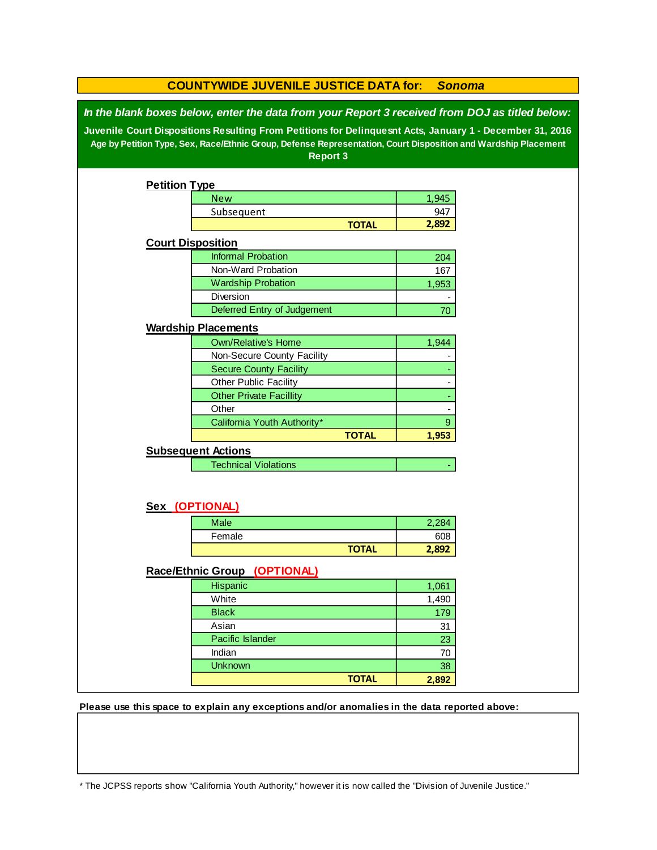|                                                                                                                                                                                                                                                                                                                                                 | <b>COUNTYWIDE JUVENILE JUSTICE DATA for:</b><br><b>Sonoma</b> |              |       |  |  |  |
|-------------------------------------------------------------------------------------------------------------------------------------------------------------------------------------------------------------------------------------------------------------------------------------------------------------------------------------------------|---------------------------------------------------------------|--------------|-------|--|--|--|
| In the blank boxes below, enter the data from your Report 3 received from DOJ as titled below:<br>Juvenile Court Dispositions Resulting From Petitions for Delinquesnt Acts, January 1 - December 31, 2016<br>Age by Petition Type, Sex, Race/Ethnic Group, Defense Representation, Court Disposition and Wardship Placement<br><b>Report 3</b> |                                                               |              |       |  |  |  |
| <b>Petition Type</b>                                                                                                                                                                                                                                                                                                                            |                                                               |              |       |  |  |  |
|                                                                                                                                                                                                                                                                                                                                                 | <b>New</b>                                                    |              | 1,945 |  |  |  |
|                                                                                                                                                                                                                                                                                                                                                 | Subsequent                                                    |              | 947   |  |  |  |
|                                                                                                                                                                                                                                                                                                                                                 |                                                               | <b>TOTAL</b> | 2,892 |  |  |  |
| <b>Court Disposition</b>                                                                                                                                                                                                                                                                                                                        |                                                               |              |       |  |  |  |
|                                                                                                                                                                                                                                                                                                                                                 | <b>Informal Probation</b>                                     |              | 204   |  |  |  |
|                                                                                                                                                                                                                                                                                                                                                 | Non-Ward Probation                                            |              | 167   |  |  |  |
|                                                                                                                                                                                                                                                                                                                                                 | <b>Wardship Probation</b>                                     |              | 1,953 |  |  |  |
|                                                                                                                                                                                                                                                                                                                                                 | Diversion                                                     |              |       |  |  |  |
|                                                                                                                                                                                                                                                                                                                                                 | Deferred Entry of Judgement                                   |              | 70    |  |  |  |
|                                                                                                                                                                                                                                                                                                                                                 | <b>Wardship Placements</b>                                    |              |       |  |  |  |
|                                                                                                                                                                                                                                                                                                                                                 | <b>Own/Relative's Home</b>                                    |              | 1,944 |  |  |  |
|                                                                                                                                                                                                                                                                                                                                                 | Non-Secure County Facility                                    |              |       |  |  |  |
|                                                                                                                                                                                                                                                                                                                                                 | <b>Secure County Facility</b>                                 |              |       |  |  |  |
|                                                                                                                                                                                                                                                                                                                                                 | Other Public Facility                                         |              |       |  |  |  |
|                                                                                                                                                                                                                                                                                                                                                 | <b>Other Private Facillity</b>                                |              |       |  |  |  |
|                                                                                                                                                                                                                                                                                                                                                 | Other                                                         |              |       |  |  |  |
|                                                                                                                                                                                                                                                                                                                                                 | California Youth Authority*                                   |              | $9\,$ |  |  |  |
|                                                                                                                                                                                                                                                                                                                                                 |                                                               | <b>TOTAL</b> | 1,953 |  |  |  |
|                                                                                                                                                                                                                                                                                                                                                 | <b>Subsequent Actions</b>                                     |              |       |  |  |  |
|                                                                                                                                                                                                                                                                                                                                                 | <b>Technical Violations</b>                                   |              |       |  |  |  |
| Sex (OPTIONAL)                                                                                                                                                                                                                                                                                                                                  |                                                               |              |       |  |  |  |
|                                                                                                                                                                                                                                                                                                                                                 | Male                                                          |              | 2,284 |  |  |  |
|                                                                                                                                                                                                                                                                                                                                                 | Female                                                        |              | 608   |  |  |  |
|                                                                                                                                                                                                                                                                                                                                                 |                                                               | <b>TOTAL</b> | 2,892 |  |  |  |
|                                                                                                                                                                                                                                                                                                                                                 | Race/Ethnic Group (OPTIONAL)                                  |              |       |  |  |  |
|                                                                                                                                                                                                                                                                                                                                                 | Hispanic                                                      |              | 1,061 |  |  |  |
|                                                                                                                                                                                                                                                                                                                                                 | White                                                         |              | 1,490 |  |  |  |
|                                                                                                                                                                                                                                                                                                                                                 | <b>Black</b>                                                  |              | 179   |  |  |  |
|                                                                                                                                                                                                                                                                                                                                                 | Asian                                                         |              | 31    |  |  |  |
|                                                                                                                                                                                                                                                                                                                                                 | Pacific Islander                                              |              | 23    |  |  |  |
|                                                                                                                                                                                                                                                                                                                                                 | Indian                                                        |              | 70    |  |  |  |
|                                                                                                                                                                                                                                                                                                                                                 | <b>Unknown</b>                                                |              | 38    |  |  |  |
|                                                                                                                                                                                                                                                                                                                                                 |                                                               | <b>TOTAL</b> | 2,892 |  |  |  |

**Please use this space to explain any exceptions and/or anomalies in the data reported above:** 

\* The JCPSS reports show "California Youth Authority," however it is now called the "Division of Juvenile Justice."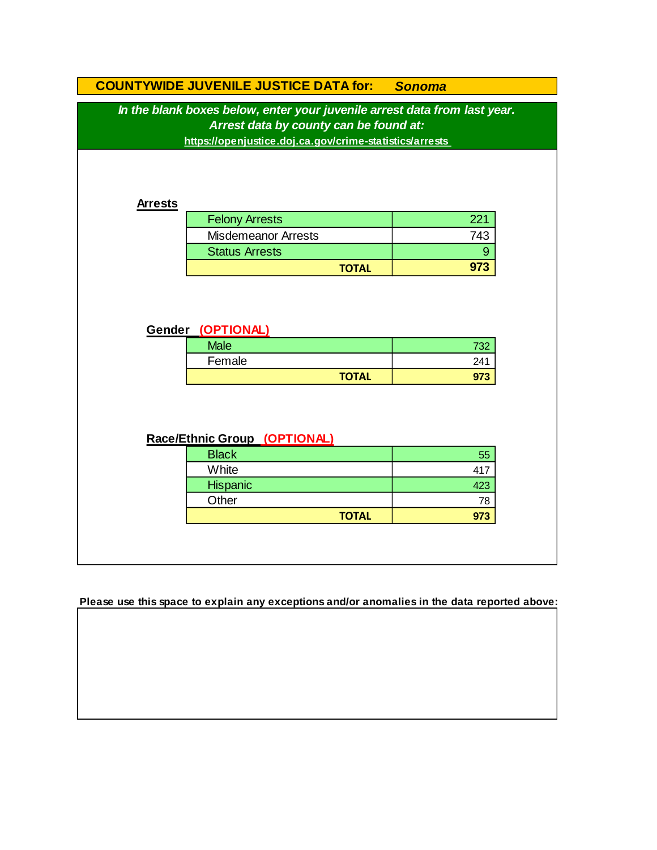|                                                                                                                                                                                | <b>COUNTYWIDE JUVENILE JUSTICE DATA for:</b> | <b>Sonoma</b> |  |  |  |  |
|--------------------------------------------------------------------------------------------------------------------------------------------------------------------------------|----------------------------------------------|---------------|--|--|--|--|
| In the blank boxes below, enter your juvenile arrest data from last year.<br>Arrest data by county can be found at:<br>https://openjustice.doj.ca.gov/crime-statistics/arrests |                                              |               |  |  |  |  |
|                                                                                                                                                                                |                                              |               |  |  |  |  |
|                                                                                                                                                                                |                                              |               |  |  |  |  |
|                                                                                                                                                                                |                                              |               |  |  |  |  |
| <b>Arrests</b>                                                                                                                                                                 | <b>Felony Arrests</b>                        | 221           |  |  |  |  |
|                                                                                                                                                                                | <b>Misdemeanor Arrests</b>                   | 743           |  |  |  |  |
|                                                                                                                                                                                | <b>Status Arrests</b>                        | 9             |  |  |  |  |
|                                                                                                                                                                                | <b>TOTAL</b>                                 | 973           |  |  |  |  |
|                                                                                                                                                                                | Gender (OPTIONAL)                            |               |  |  |  |  |
|                                                                                                                                                                                |                                              |               |  |  |  |  |
|                                                                                                                                                                                |                                              |               |  |  |  |  |
|                                                                                                                                                                                | <b>Male</b>                                  | 732           |  |  |  |  |
|                                                                                                                                                                                | Female                                       | 241           |  |  |  |  |
|                                                                                                                                                                                | <b>TOTAL</b>                                 | 973           |  |  |  |  |
|                                                                                                                                                                                | Race/Ethnic Group (OPTIONAL)                 |               |  |  |  |  |
|                                                                                                                                                                                | <b>Black</b>                                 | 55            |  |  |  |  |
|                                                                                                                                                                                | White                                        | 417           |  |  |  |  |
|                                                                                                                                                                                | Hispanic                                     | 423           |  |  |  |  |
|                                                                                                                                                                                | Other                                        | 78            |  |  |  |  |

**Please use this space to explain any exceptions and/or anomalies in the data reported above:**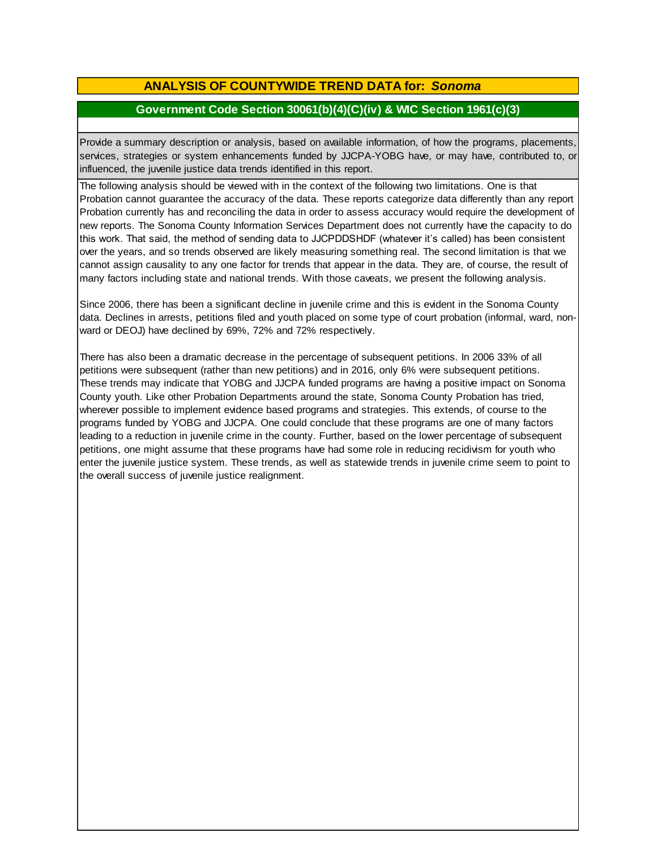# **ANALYSIS OF COUNTYWIDE TREND DATA for:** *Sonoma*

### **Government Code Section 30061(b)(4)(C)(iv) & WIC Section 1961(c)(3)**

Provide <sup>a</sup> summary description or analysis, based on available information, of how the programs, placements, services, strategies or system enhancements funded by JJCPA-YOBG have, or may have, contributed to, or influenced, the juvenile justice data trends identified in this report.

The following analysis should be viewed with in the context of the following two limitations. One is that Probation cannot guarantee the accuracy of the data. These reports categorize data differently than any report Probation currently has and reconciling the data in order to assess accuracy would require the development of new reports. The Sonoma County Information Services Department does not currently have the capacity to do this work. That said, the method of sending data to JJCPDDSHDF (whatever it's called) has been consistent over the years, and so trends observed are likely measuring something real. The second limitation is that we cannot assign causality to any one factor for trends that appear in the data. They are, of course, the result of many factors including state and national trends. With those caveats, we present the following analysis.

Since 2006, there has been a significant decline in juvenile crime and this is evident in the Sonoma County data. Declines in arrests, petitions filed and youth placed on some type of court probation (informal, ward, nonward or DEOJ) have declined by 69%, 72% and 72% respectively.

There has also been a dramatic decrease in the percentage of subsequent petitions. In 2006 33% of all petitions were subsequent (rather than new petitions) and in 2016, only 6% were subsequent petitions. These trends may indicate that YOBG and JJCPA funded programs are having a positive impact on Sonoma County youth. Like other Probation Departments around the state, Sonoma County Probation has tried, wherever possible to implement evidence based programs and strategies. This extends, of course to the programs funded by YOBG and JJCPA. One could conclude that these programs are one of many factors leading to a reduction in juvenile crime in the county. Further, based on the lower percentage of subsequent petitions, one might assume that these programs have had some role in reducing recidivism for youth who enter the juvenile justice system. These trends, as well as statewide trends in juvenile crime seem to point to the overall success of juvenile justice realignment.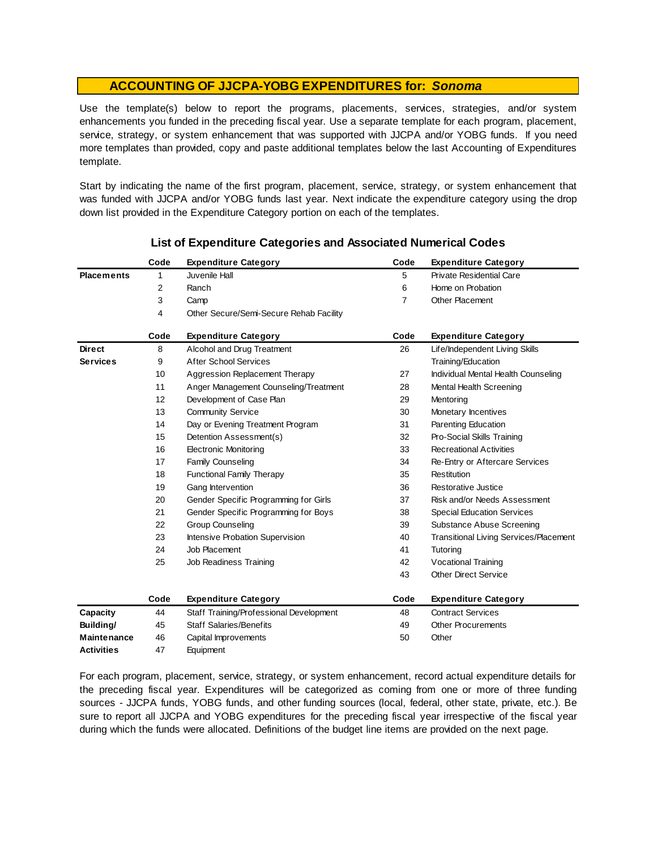Use the template(s) below to report the programs, placements, services, strategies, and/or system enhancements you funded in the preceding fiscal year. Use <sup>a</sup> separate template for each program, placement, service, strategy, or system enhancement that was supported with JJCPA and/or YOBG funds. If you need more templates than provided, copy and paste additional templates below the last Accounting of Expenditures template.

Start by indicating the name of the first program, placement, service, strategy, or system enhancement that was funded with JJCPA and/or YOBG funds last year. Next indicate the expenditure category using the drop down list provided in the Expenditure Category portion on each of the templates.

|                    | Code | <b>Expenditure Category</b>             | Code           | <b>Expenditure Category</b>                   |
|--------------------|------|-----------------------------------------|----------------|-----------------------------------------------|
| <b>Placements</b>  | 1    | Juvenile Hall                           | 5              | <b>Private Residential Care</b>               |
|                    | 2    | Ranch                                   | 6              | Home on Probation                             |
|                    | 3    | Camp                                    | $\overline{7}$ | Other Placement                               |
|                    | 4    | Other Secure/Semi-Secure Rehab Facility |                |                                               |
|                    | Code | <b>Expenditure Category</b>             | Code           | <b>Expenditure Category</b>                   |
| <b>Direct</b>      | 8    | Alcohol and Drug Treatment              | 26             | Life/Independent Living Skills                |
| <b>Services</b>    | 9    | <b>After School Services</b>            |                | Training/Education                            |
|                    | 10   | Aggression Replacement Therapy          | 27             | Individual Mental Health Counseling           |
|                    | 11   | Anger Management Counseling/Treatment   | 28             | Mental Health Screening                       |
|                    | 12   | Development of Case Plan                | 29             | Mentoring                                     |
|                    | 13   | <b>Community Service</b>                | 30             | Monetary Incentives                           |
|                    | 14   | Day or Evening Treatment Program        | 31             | Parenting Education                           |
|                    | 15   | Detention Assessment(s)                 | 32             | Pro-Social Skills Training                    |
|                    | 16   | <b>Electronic Monitoring</b>            | 33             | <b>Recreational Activities</b>                |
|                    | 17   | <b>Family Counseling</b>                | 34             | Re-Entry or Aftercare Services                |
|                    | 18   | <b>Functional Family Therapy</b>        | 35             | Restitution                                   |
|                    | 19   | Gang Intervention                       | 36             | Restorative Justice                           |
|                    | 20   | Gender Specific Programming for Girls   | 37             | Risk and/or Needs Assessment                  |
|                    | 21   | Gender Specific Programming for Boys    | 38             | <b>Special Education Services</b>             |
|                    | 22   | <b>Group Counseling</b>                 | 39             | Substance Abuse Screening                     |
|                    | 23   | Intensive Probation Supervision         | 40             | <b>Transitional Living Services/Placement</b> |
|                    | 24   | Job Placement                           | 41             | Tutoring                                      |
|                    | 25   | Job Readiness Training                  | 42             | Vocational Training                           |
|                    |      |                                         | 43             | <b>Other Direct Service</b>                   |
|                    | Code | <b>Expenditure Category</b>             | Code           | <b>Expenditure Category</b>                   |
| Capacity           | 44   | Staff Training/Professional Development | 48             | <b>Contract Services</b>                      |
| Building/          | 45   | <b>Staff Salaries/Benefits</b>          | 49             | <b>Other Procurements</b>                     |
| <b>Maintenance</b> | 46   | Capital Improvements                    | 50             | Other                                         |
| <b>Activities</b>  | 47   | Equipment                               |                |                                               |

#### **List of Expenditure Categories and Associated Numerical Codes**

For each program, placement, service, strategy, or system enhancement, record actual expenditure details for the preceding fiscal year. Expenditures will be categorized as coming from one or more of three funding sources - JJCPA funds, YOBG funds, and other funding sources (local, federal, other state, private, etc.). Be sure to report all JJCPA and YOBG expenditures for the preceding fiscal year irrespective of the fiscal year during which the funds were allocated. Definitions of the budget line items are provided on the next page.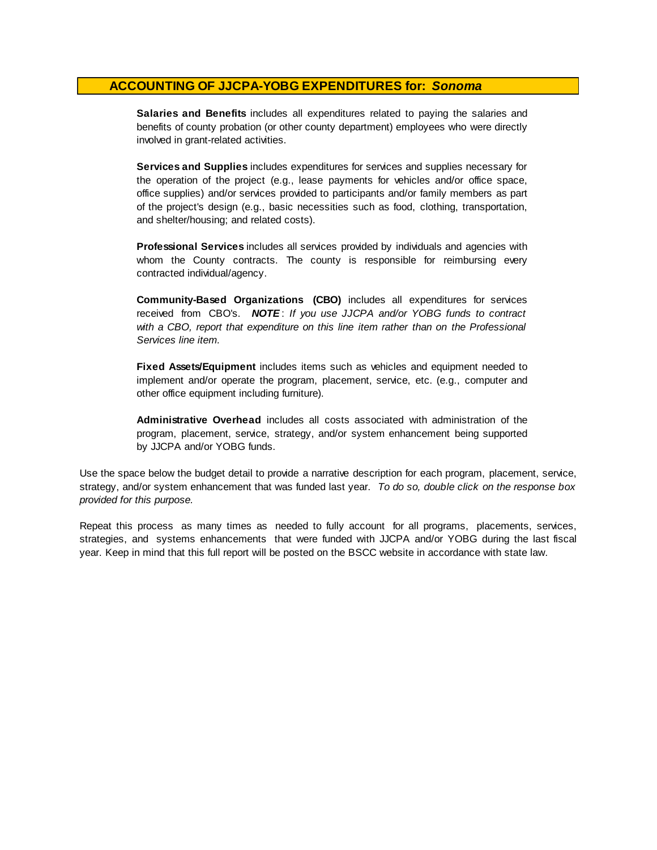**Salaries and Benefits** includes all expenditures related to paying the salaries and benefits of county probation (or other county department) employees who were directly involved in grant-related activities.

**Services and Supplies** includes expenditures for services and supplies necessary for the operation of the project (e.g., lease payments for vehicles and/or office space, office supplies) and/or services provided to participants and/or family members as part of the project's design (e.g., basic necessities such as food, clothing, transportation, and shelter/housing; and related costs).

**Professional Services** includes all services provided by individuals and agencies with whom the County contracts. The county is responsible for reimbursing every contracted individual/agency.

**Community-Based Organizations (CBO)** includes all expenditures for services received from CBO's. *NOTE* : *I f you use JJCPA and/or YOBG funds t o contract with <sup>a</sup> CBO, report that expenditure on this line item rather than on the Professional Services line item.*

**Fixed Assets/Equipment** includes items such as vehicles and equipment needed to implement and/or operate the program, placement, service, etc. (e.g., computer and other office equipment including furniture).

**Administrative Overhead** includes all costs associated with administration of the program, placement, service, strategy, and/or system enhancement being supported by JJCPA and/or YOBG funds.

Use the space below the budget detail to provide a narrative description for each program, placement, service, strategy, and/or system enhancement that was funded last year. *To do so, double click on the response box provided for this purpose.* 

Repeat this process as many times as needed to fully account for all programs, placements, services, strategies, and systems enhancements that were funded with JJCPA and/or YOBG during the last fiscal year. Keep in mind that this full report will be posted on the BSCC website in accordance with state law.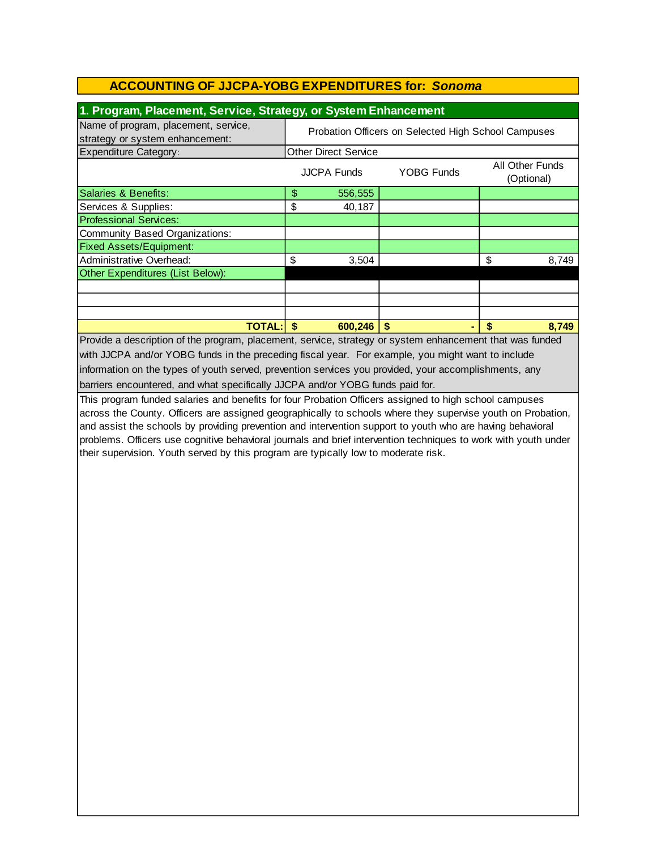|  | 1. Program, Placement, Service, Strategy, or System Enhancement |  |
|--|-----------------------------------------------------------------|--|
|--|-----------------------------------------------------------------|--|

| Name of program, placement, service,<br>strategy or system enhancement: | Probation Officers on Selected High School Campuses |                    |                   |    |                               |
|-------------------------------------------------------------------------|-----------------------------------------------------|--------------------|-------------------|----|-------------------------------|
| <b>Expenditure Category:</b>                                            | <b>Other Direct Service</b>                         |                    |                   |    |                               |
|                                                                         |                                                     | <b>JJCPA Funds</b> | <b>YOBG Funds</b> |    | All Other Funds<br>(Optional) |
| Salaries & Benefits:                                                    | \$                                                  | 556,555            |                   |    |                               |
| Services & Supplies:                                                    | \$                                                  | 40,187             |                   |    |                               |
| <b>Professional Services:</b>                                           |                                                     |                    |                   |    |                               |
| Community Based Organizations:                                          |                                                     |                    |                   |    |                               |
| <b>Fixed Assets/Equipment:</b>                                          |                                                     |                    |                   |    |                               |
| Administrative Overhead:                                                | \$                                                  | 3,504              |                   | \$ | 8,749                         |
| Other Expenditures (List Below):                                        |                                                     |                    |                   |    |                               |
|                                                                         |                                                     |                    |                   |    |                               |
|                                                                         |                                                     |                    |                   |    |                               |
|                                                                         |                                                     |                    |                   |    |                               |
| <b>TOTAL:</b>                                                           |                                                     | 600,246            | \$                | \$ | 8.749                         |

Provide a description of the program, placement, service, strategy or system enhancement that was funded with JJCPA and/or YOBG funds in the preceding fiscal year. For example, you might want to include information on the types of youth served, prevention services you provided, your accomplishments, any barriers encountered, and what specifically JJCPA and/or YOBG funds paid for.

This program funded salaries and benefits for four Probation Officers assigned to high school campuses across the County. Officers are assigned geographically to schools where they supervise youth on Probation, and assist the schools by providing prevention and intervention support to youth who are having behavioral problems. Officers use cognitive behavioral journals and brief intervention techniques to work with youth under their supervision. Youth served by this program are typically low to moderate risk.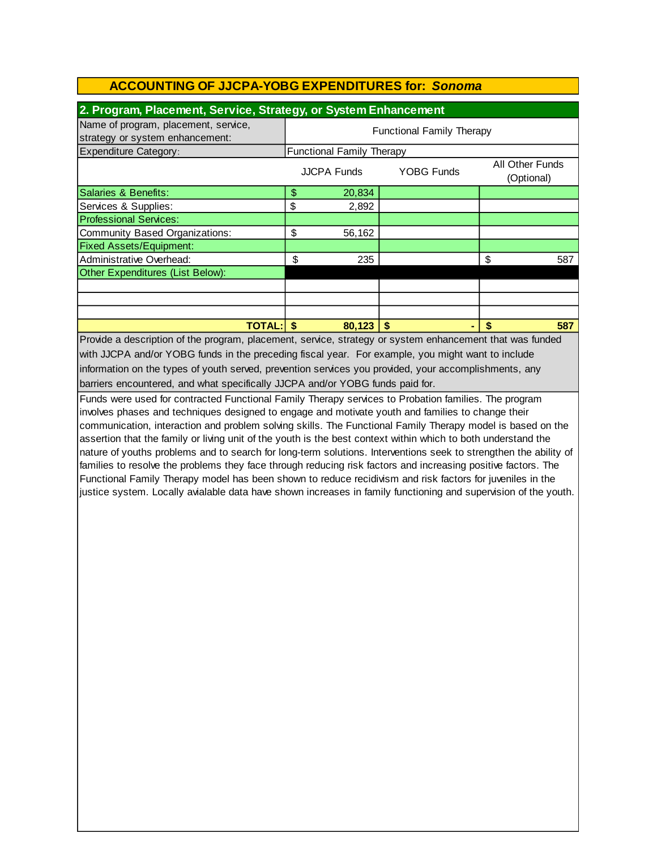| 2. Program, Placement, Service, Strategy, or System Enhancement         |                                                                          |                                  |   |    |     |  |
|-------------------------------------------------------------------------|--------------------------------------------------------------------------|----------------------------------|---|----|-----|--|
| Name of program, placement, service,<br>strategy or system enhancement: | <b>Functional Family Therapy</b>                                         |                                  |   |    |     |  |
| <b>Expenditure Category:</b>                                            |                                                                          | <b>Functional Family Therapy</b> |   |    |     |  |
|                                                                         | <b>All Other Funds</b><br><b>YOBG Funds</b><br>JJCPA Funds<br>(Optional) |                                  |   |    |     |  |
| Salaries & Benefits:                                                    | \$                                                                       | 20,834                           |   |    |     |  |
| Services & Supplies:                                                    | \$                                                                       | 2,892                            |   |    |     |  |
| <b>Professional Services:</b>                                           |                                                                          |                                  |   |    |     |  |
| Community Based Organizations:                                          | \$                                                                       | 56,162                           |   |    |     |  |
| <b>Fixed Assets/Equipment:</b>                                          |                                                                          |                                  |   |    |     |  |
| Administrative Overhead:                                                | \$                                                                       | 235                              |   | \$ | 587 |  |
| Other Expenditures (List Below):                                        |                                                                          |                                  |   |    |     |  |
|                                                                         |                                                                          |                                  |   |    |     |  |
|                                                                         |                                                                          |                                  |   |    |     |  |
|                                                                         |                                                                          |                                  |   |    |     |  |
| <b>TOTAL:</b>                                                           |                                                                          | 80,123                           | S | \$ | 587 |  |

barriers encountered, and what specifically JJCPA and/or YOBG funds paid for. Provide a description of the program, placement, service, strategy or system enhancement that was funded with JJCPA and/or YOBG funds in the preceding fiscal year. For example, you might want to include information on the types of youth served, prevention services you provided, your accomplishments, any

Funds were used for contracted Functional Family Therapy services to Probation families. The program involves phases and techniques designed to engage and motivate youth and families to change their communication, interaction and problem solving skills. The Functional Family Therapy model is based on the assertion that the family or living unit of the youth is the best context within which to both understand the nature of youths problems and to search for long-term solutions. Interventions seek to strengthen the ability of families to resolve the problems they face through reducing risk factors and increasing positive factors. The Functional Family Therapy model has been shown to reduce recidivism and risk factors for juveniles in the justice system. Locally avialable data have shown increases in family functioning and supervision of the youth.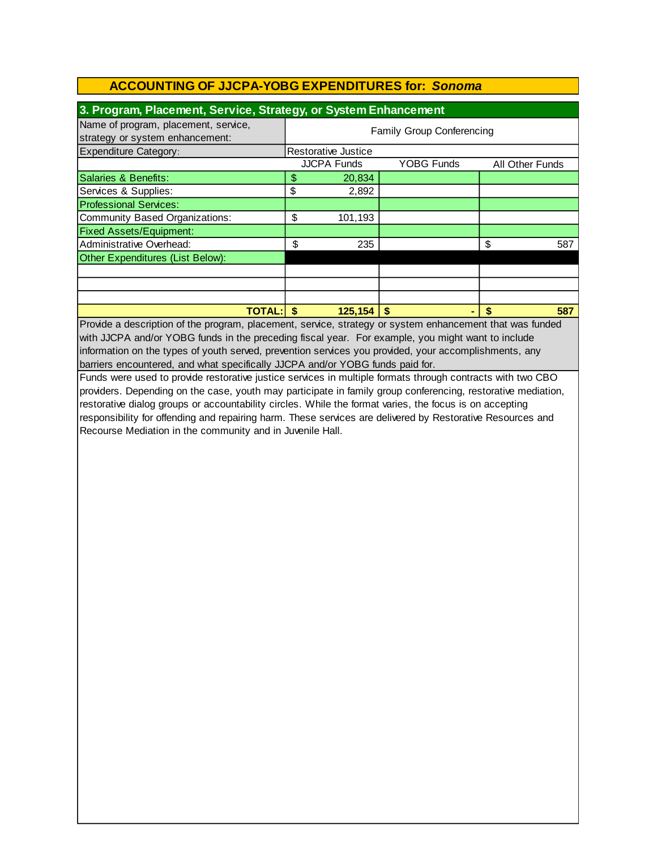| 3. Program, Placement, Service, Strategy, or System Enhancement         |                           |                            |                   |    |                 |  |
|-------------------------------------------------------------------------|---------------------------|----------------------------|-------------------|----|-----------------|--|
| Name of program, placement, service,<br>strategy or system enhancement: | Family Group Conferencing |                            |                   |    |                 |  |
| <b>Expenditure Category:</b>                                            |                           | <b>Restorative Justice</b> |                   |    |                 |  |
|                                                                         |                           | <b>JJCPA Funds</b>         | <b>YOBG Funds</b> |    | All Other Funds |  |
| Salaries & Benefits:                                                    | \$                        | 20,834                     |                   |    |                 |  |
| Services & Supplies:                                                    | \$                        | 2,892                      |                   |    |                 |  |
| <b>Professional Services:</b>                                           |                           |                            |                   |    |                 |  |
| Community Based Organizations:                                          | \$                        | 101,193                    |                   |    |                 |  |
| <b>Fixed Assets/Equipment:</b>                                          |                           |                            |                   |    |                 |  |
| Administrative Overhead:                                                | \$                        | 235                        |                   | \$ | 587             |  |
| Other Expenditures (List Below):                                        |                           |                            |                   |    |                 |  |
|                                                                         |                           |                            |                   |    |                 |  |
|                                                                         |                           |                            |                   |    |                 |  |
|                                                                         |                           |                            |                   |    |                 |  |
| <b>TOTAL:</b>                                                           |                           | 125,154                    | \$                |    | 587             |  |

barriers encountered, and what specifically JJCPA and/or YOBG funds paid for. information on the types of youth served, prevention services you provided, your accomplishments, any Provide a description of the program, placement, service, strategy or system enhancement that was funded with JJCPA and/or YOBG funds in the preceding fiscal year. For example, you might want to include

Funds were used to provide restorative justice services in multiple formats through contracts with two CBO providers. Depending on the case, youth may participate in family group conferencing, restorative mediation, restorative dialog groups or accountability circles. While the format varies, the focus is on accepting responsibility for offending and repairing harm. These services are delivered by Restorative Resources and Recourse Mediation in the community and in Juvenile Hall.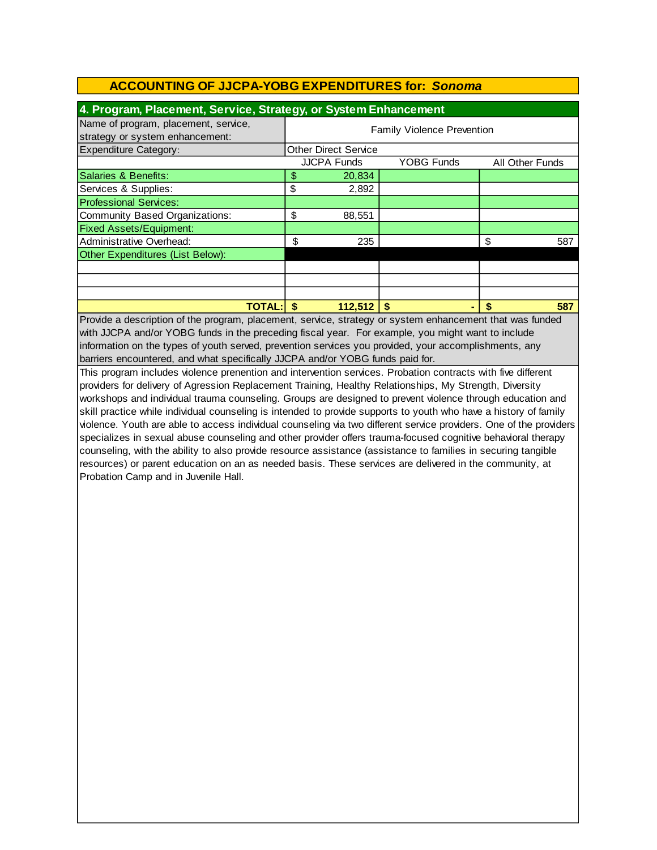| 4. Program, Placement, Service, Strategy, or System Enhancement         |                                   |                             |                   |    |                        |  |
|-------------------------------------------------------------------------|-----------------------------------|-----------------------------|-------------------|----|------------------------|--|
| Name of program, placement, service,<br>strategy or system enhancement: | <b>Family Violence Prevention</b> |                             |                   |    |                        |  |
| <b>Expenditure Category:</b>                                            |                                   | <b>Other Direct Service</b> |                   |    |                        |  |
|                                                                         |                                   | <b>JJCPA Funds</b>          | <b>YOBG Funds</b> |    | <b>All Other Funds</b> |  |
| Salaries & Benefits:                                                    | \$                                | 20,834                      |                   |    |                        |  |
| Services & Supplies:                                                    | \$                                | 2,892                       |                   |    |                        |  |
| <b>Professional Services:</b>                                           |                                   |                             |                   |    |                        |  |
| Community Based Organizations:                                          | \$                                | 88,551                      |                   |    |                        |  |
| <b>Fixed Assets/Equipment:</b>                                          |                                   |                             |                   |    |                        |  |
| Administrative Overhead:                                                | \$                                | 235                         |                   | \$ | 587                    |  |
| Other Expenditures (List Below):                                        |                                   |                             |                   |    |                        |  |
|                                                                         |                                   |                             |                   |    |                        |  |
|                                                                         |                                   |                             |                   |    |                        |  |
|                                                                         |                                   |                             |                   |    |                        |  |
| <b>TOTAL:</b>                                                           | \$.                               | $112,512$ \$                |                   | \$ | 587                    |  |

Provide a description of the program, placement, service, strategy or system enhancement that was funded with JJCPA and/or YOBG funds in the preceding fiscal year. For example, you might want to include information on the types of youth served, prevention services you provided, your accomplishments, any barriers encountered, and what specifically JJCPA and/or YOBG funds paid for.

This program includes violence prenention and intervention services. Probation contracts with five different providers for delivery of Agression Replacement Training, Healthy Relationships, My Strength, Diversity workshops and individual trauma counseling. Groups are designed to prevent violence through education and skill practice while individual counseling is intended to provide supports to youth who have a history of family violence. Youth are able to access individual counseling via two different service providers. One of the providers specializes in sexual abuse counseling and other provider offers trauma-focused cognitive behavioral therapy counseling, with the ability to also provide resource assistance (assistance to families in securing tangible resources) or parent education on an as needed basis. These services are delivered in the community, at Probation Camp and in Juvenile Hall.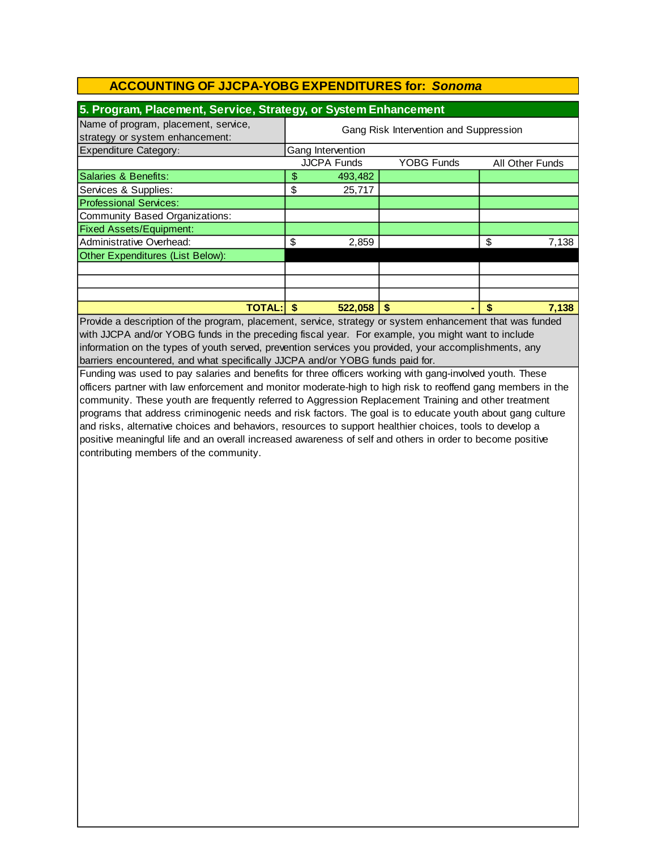| 5. Program, Placement, Service, Strategy, or System Enhancement         |                                        |                    |                   |    |                 |
|-------------------------------------------------------------------------|----------------------------------------|--------------------|-------------------|----|-----------------|
| Name of program, placement, service,<br>strategy or system enhancement: | Gang Risk Intervention and Suppression |                    |                   |    |                 |
| <b>Expenditure Category:</b>                                            |                                        | Gang Intervention  |                   |    |                 |
|                                                                         |                                        | <b>JJCPA Funds</b> | <b>YOBG Funds</b> |    | All Other Funds |
| Salaries & Benefits:                                                    | \$                                     | 493,482            |                   |    |                 |
| Services & Supplies:                                                    | \$                                     | 25,717             |                   |    |                 |
| <b>Professional Services:</b>                                           |                                        |                    |                   |    |                 |
| Community Based Organizations:                                          |                                        |                    |                   |    |                 |
| <b>Fixed Assets/Equipment:</b>                                          |                                        |                    |                   |    |                 |
| Administrative Overhead:                                                | \$                                     | 2,859              |                   | \$ | 7,138           |
| Other Expenditures (List Below):                                        |                                        |                    |                   |    |                 |
|                                                                         |                                        |                    |                   |    |                 |
|                                                                         |                                        |                    |                   |    |                 |
|                                                                         |                                        |                    |                   |    |                 |
| <b>TOTAL:</b>                                                           |                                        | 522.058            | \$                |    | 7.138           |

Provide a description of the program, placement, service, strategy or system enhancement that was funded with JJCPA and/or YOBG funds in the preceding fiscal year. For example, you might want to include information on the types of youth served, prevention services you provided, your accomplishments, any barriers encountered, and what specifically JJCPA and/or YOBG funds paid for.

Funding was used to pay salaries and benefits for three officers working with gang-involved youth. These officers partner with law enforcement and monitor moderate-high to high risk to reoffend gang members in the community. These youth are frequently referred to Aggression Replacement Training and other treatment programs that address criminogenic needs and risk factors. The goal is to educate youth about gang culture and risks, alternative choices and behaviors, resources to support healthier choices, tools to develop a positive meaningful life and an overall increased awareness of self and others in order to become positive contributing members of the community.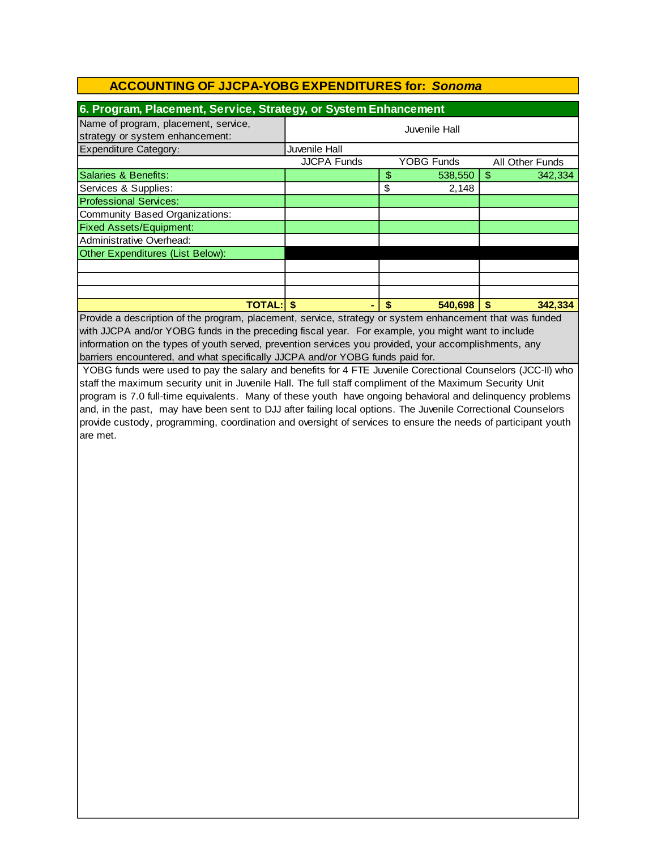| 6. Program, Placement, Service, Strategy, or System Enhancement                                          |                    |    |                   |    |                 |
|----------------------------------------------------------------------------------------------------------|--------------------|----|-------------------|----|-----------------|
| Name of program, placement, service,                                                                     |                    |    |                   |    |                 |
| strategy or system enhancement:                                                                          | Juvenile Hall      |    |                   |    |                 |
| <b>Expenditure Category:</b>                                                                             | Juvenile Hall      |    |                   |    |                 |
|                                                                                                          | <b>JJCPA Funds</b> |    | <b>YOBG Funds</b> |    | All Other Funds |
| Salaries & Benefits:                                                                                     |                    | \$ | 538,550           | \$ | 342,334         |
| Services & Supplies:                                                                                     |                    | \$ | 2,148             |    |                 |
| <b>Professional Services:</b>                                                                            |                    |    |                   |    |                 |
| Community Based Organizations:                                                                           |                    |    |                   |    |                 |
| <b>Fixed Assets/Equipment:</b>                                                                           |                    |    |                   |    |                 |
| Administrative Overhead:                                                                                 |                    |    |                   |    |                 |
| Other Expenditures (List Below):                                                                         |                    |    |                   |    |                 |
|                                                                                                          |                    |    |                   |    |                 |
|                                                                                                          |                    |    |                   |    |                 |
|                                                                                                          |                    |    |                   |    |                 |
| <b>TOTAL: \$</b>                                                                                         | ۰.                 | \$ | 540,698           | \$ | 342,334         |
| Provide a description of the program, placement, service, strategy or system enhancement that was funded |                    |    |                   |    |                 |

with JJCPA and/or YOBG funds in the preceding fiscal year. For example, you might want to include information on the types of youth served, prevention services you provided, your accomplishments, any barriers encountered, and what specifically JJCPA and/or YOBG funds paid for.

YOBG funds were used to pay the salary and benefits for 4 FTE Juvenile Corectional Counselors (JCC-II) who staff the maximum security unit in Juvenile Hall. The full staff compliment of the Maximum Security Unit program is 7.0 full-time equivalents. Many of these youth have ongoing behavioral and delinquency problems and, in the past, may have been sent to DJJ after failing local options. The Juvenile Correctional Counselors provide custody, programming, coordination and oversight of services to ensure the needs of participant youth are met.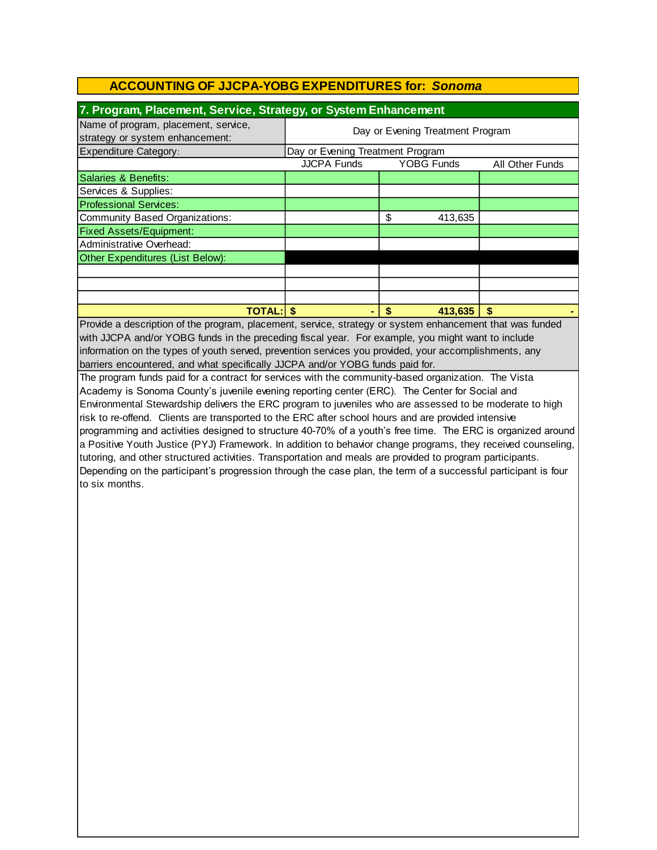| 7. Program, Placement, Service, Strategy, or System Enhancement                                          |                                  |                   |                 |  |
|----------------------------------------------------------------------------------------------------------|----------------------------------|-------------------|-----------------|--|
| Name of program, placement, service,<br>strategy or system enhancement:                                  | Day or Evening Treatment Program |                   |                 |  |
| <b>Expenditure Category:</b>                                                                             | Day or Evening Treatment Program |                   |                 |  |
|                                                                                                          | <b>JJCPA Funds</b>               | <b>YOBG Funds</b> | All Other Funds |  |
| Salaries & Benefits:                                                                                     |                                  |                   |                 |  |
| Services & Supplies:                                                                                     |                                  |                   |                 |  |
| <b>Professional Services:</b>                                                                            |                                  |                   |                 |  |
| Community Based Organizations:                                                                           |                                  | \$<br>413,635     |                 |  |
| <b>Fixed Assets/Equipment:</b>                                                                           |                                  |                   |                 |  |
| Administrative Overhead:                                                                                 |                                  |                   |                 |  |
| Other Expenditures (List Below):                                                                         |                                  |                   |                 |  |
|                                                                                                          |                                  |                   |                 |  |
|                                                                                                          |                                  |                   |                 |  |
|                                                                                                          |                                  |                   |                 |  |
| <b>TOTAL: \$</b>                                                                                         |                                  | \$<br>413,635     | \$.             |  |
| Provide a description of the program, placement, service, strategy or system enhancement that was funded |                                  |                   |                 |  |

Provide a description of the program, placement, service, strategy or system enhancement that was funded with JJCPA and/or YOBG funds in the preceding fiscal year. For example, you might want to include information on the types of youth served, prevention services you provided, your accomplishments, any barriers encountered, and what specifically JJCPA and/or YOBG funds paid for.

The program funds paid for a contract for services with the community-based organization. The Vista Academy is Sonoma County's juvenile evening reporting center (ERC). The Center for Social and Environmental Stewardship delivers the ERC program to juveniles who are assessed to be moderate to high risk to re-offend. Clients are transported to the ERC after school hours and are provided intensive programming and activities designed to structure 40-70% of a youth's free time. The ERC is organized around a Positive Youth Justice (PYJ) Framework. In addition to behavior change programs, they received counseling, tutoring, and other structured activities. Transportation and meals are provided to program participants. Depending on the participant's progression through the case plan, the term of a successful participant is four to six months.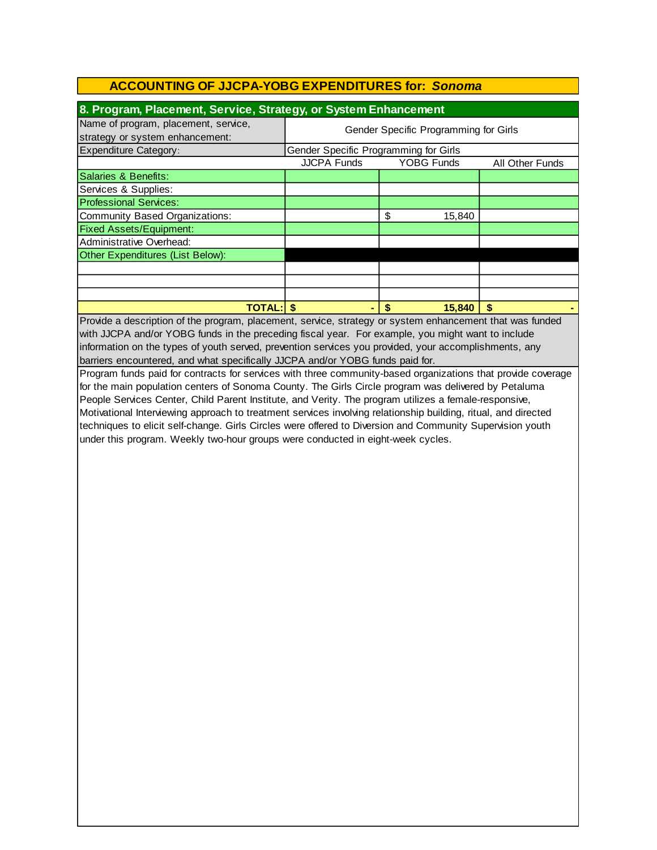| 8. Program, Placement, Service, Strategy, or System Enhancement                                                |                                       |                      |                 |  |
|----------------------------------------------------------------------------------------------------------------|---------------------------------------|----------------------|-----------------|--|
| Name of program, placement, service,                                                                           | Gender Specific Programming for Girls |                      |                 |  |
| strategy or system enhancement:                                                                                |                                       |                      |                 |  |
| <b>Expenditure Category:</b>                                                                                   | Gender Specific Programming for Girls |                      |                 |  |
|                                                                                                                | <b>JJCPA Funds</b>                    | <b>YOBG Funds</b>    | All Other Funds |  |
| <b>Salaries &amp; Benefits:</b>                                                                                |                                       |                      |                 |  |
| Services & Supplies:                                                                                           |                                       |                      |                 |  |
| <b>Professional Services:</b>                                                                                  |                                       |                      |                 |  |
| <b>Community Based Organizations:</b>                                                                          |                                       | \$<br>15,840         |                 |  |
| <b>Fixed Assets/Equipment:</b>                                                                                 |                                       |                      |                 |  |
| Administrative Overhead:                                                                                       |                                       |                      |                 |  |
| Other Expenditures (List Below):                                                                               |                                       |                      |                 |  |
|                                                                                                                |                                       |                      |                 |  |
|                                                                                                                |                                       |                      |                 |  |
|                                                                                                                |                                       |                      |                 |  |
| <b>TOTAL: \$</b>                                                                                               |                                       | $\sqrt{2}$<br>15,840 | \$              |  |
| Provide a description of the program, placement, service, strategy or system enhancement that was funded       |                                       |                      |                 |  |
| with JJCPA and/or YOBG funds in the preceding fiscal year. For example, you might want to include              |                                       |                      |                 |  |
| information on the types of youth served, prevention services you provided, your accomplishments, any          |                                       |                      |                 |  |
| barriers encountered, and what specifically JJCPA and/or YOBG funds paid for.                                  |                                       |                      |                 |  |
| Program funds paid for contracts for services with three community-based organizations that provide coverage   |                                       |                      |                 |  |
| for the main population centers of Sonoma County. The Girls Circle program was delivered by Petaluma           |                                       |                      |                 |  |
| People Services Center, Child Parent Institute, and Verity. The program utilizes a female-responsive,          |                                       |                      |                 |  |
| Motivational Interviewing approach to treatment services involving relationship building, ritual, and directed |                                       |                      |                 |  |
| techniques to elicit self-change. Girls Circles were offered to Diversion and Community Supervision youth      |                                       |                      |                 |  |
| under this program. Weekly two-hour groups were conducted in eight-week cycles.                                |                                       |                      |                 |  |
|                                                                                                                |                                       |                      |                 |  |
|                                                                                                                |                                       |                      |                 |  |
|                                                                                                                |                                       |                      |                 |  |
|                                                                                                                |                                       |                      |                 |  |
|                                                                                                                |                                       |                      |                 |  |
|                                                                                                                |                                       |                      |                 |  |
|                                                                                                                |                                       |                      |                 |  |
|                                                                                                                |                                       |                      |                 |  |
|                                                                                                                |                                       |                      |                 |  |
|                                                                                                                |                                       |                      |                 |  |
|                                                                                                                |                                       |                      |                 |  |
|                                                                                                                |                                       |                      |                 |  |
|                                                                                                                |                                       |                      |                 |  |
|                                                                                                                |                                       |                      |                 |  |
|                                                                                                                |                                       |                      |                 |  |
|                                                                                                                |                                       |                      |                 |  |
|                                                                                                                |                                       |                      |                 |  |
|                                                                                                                |                                       |                      |                 |  |
|                                                                                                                |                                       |                      |                 |  |
|                                                                                                                |                                       |                      |                 |  |
|                                                                                                                |                                       |                      |                 |  |
|                                                                                                                |                                       |                      |                 |  |
|                                                                                                                |                                       |                      |                 |  |
|                                                                                                                |                                       |                      |                 |  |
|                                                                                                                |                                       |                      |                 |  |
|                                                                                                                |                                       |                      |                 |  |
|                                                                                                                |                                       |                      |                 |  |
|                                                                                                                |                                       |                      |                 |  |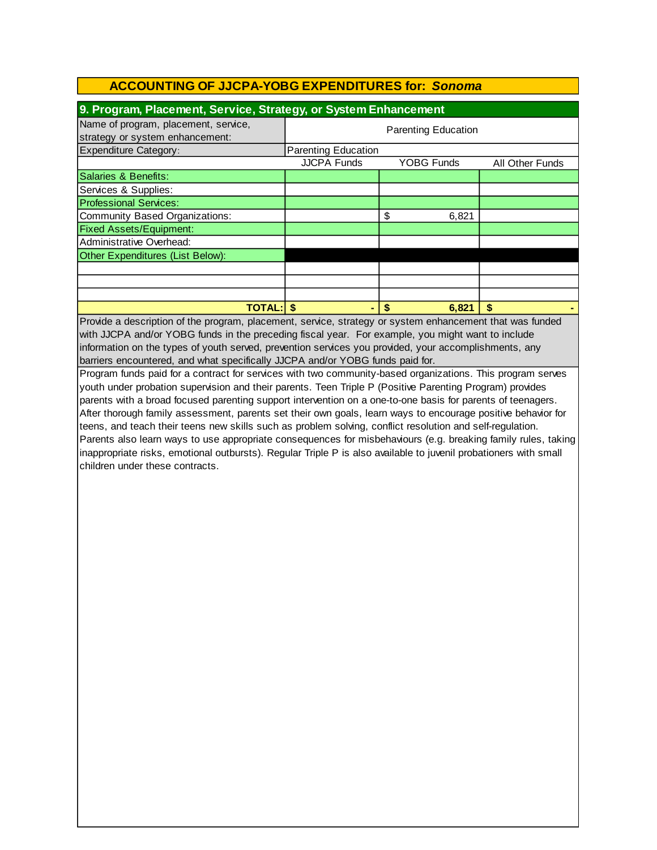| 9. Program, Placement, Service, Strategy, or System Enhancement         |                            |                   |                 |  |
|-------------------------------------------------------------------------|----------------------------|-------------------|-----------------|--|
| Name of program, placement, service,<br>strategy or system enhancement: | <b>Parenting Education</b> |                   |                 |  |
| <b>Expenditure Category:</b>                                            | <b>Parenting Education</b> |                   |                 |  |
|                                                                         | <b>JJCPA Funds</b>         | <b>YOBG Funds</b> | All Other Funds |  |
| Salaries & Benefits:                                                    |                            |                   |                 |  |
| Services & Supplies:                                                    |                            |                   |                 |  |
| <b>Professional Services:</b>                                           |                            |                   |                 |  |
| Community Based Organizations:                                          |                            | \$<br>6,821       |                 |  |
| <b>Fixed Assets/Equipment:</b>                                          |                            |                   |                 |  |
| Administrative Overhead:                                                |                            |                   |                 |  |
| Other Expenditures (List Below):                                        |                            |                   |                 |  |
|                                                                         |                            |                   |                 |  |
|                                                                         |                            |                   |                 |  |
|                                                                         |                            |                   |                 |  |
| <b>TOTAL:</b>                                                           |                            | 6,821             | \$              |  |

Provide a description of the program, placement, service, strategy or system enhancement that was funded with JJCPA and/or YOBG funds in the preceding fiscal year. For example, you might want to include information on the types of youth served, prevention services you provided, your accomplishments, any barriers encountered, and what specifically JJCPA and/or YOBG funds paid for.

Program funds paid for a contract for services with two community-based organizations. This program serves youth under probation supervision and their parents. Teen Triple P (Positive Parenting Program) provides parents with a broad focused parenting support intervention on a one-to-one basis for parents of teenagers. After thorough family assessment, parents set their own goals, learn ways to encourage positive behavior for teens, and teach their teens new skills such as problem solving, conflict resolution and self-regulation. Parents also learn ways to use appropriate consequences for misbehaviours (e.g. breaking family rules, taking inappropriate risks, emotional outbursts). Regular Triple P is also available to juvenil probationers with small children under these contracts.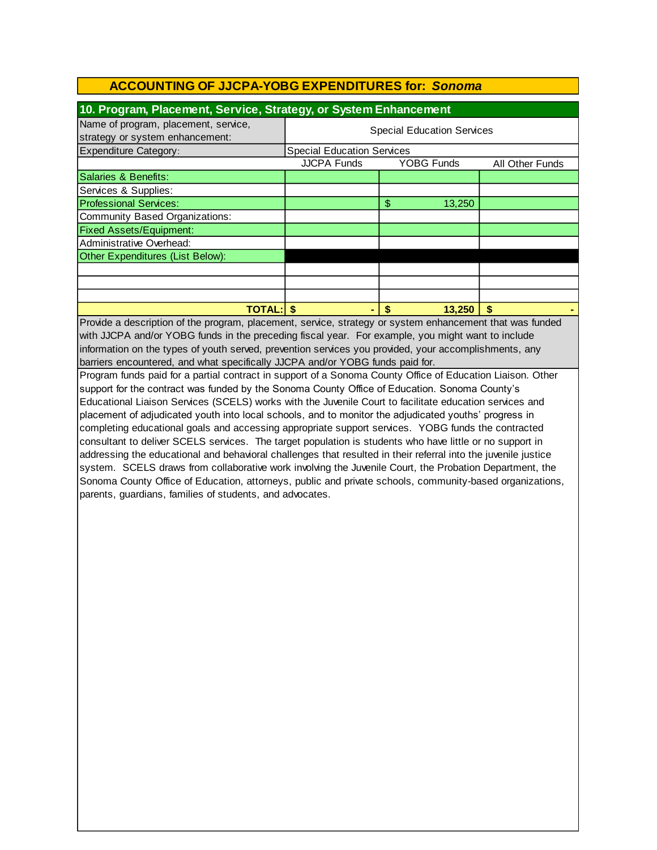| 10. Program, Placement, Service, Strategy, or System Enhancement        |                                   |                   |                 |  |
|-------------------------------------------------------------------------|-----------------------------------|-------------------|-----------------|--|
| Name of program, placement, service,<br>strategy or system enhancement: | <b>Special Education Services</b> |                   |                 |  |
| <b>Expenditure Category:</b>                                            | <b>Special Education Services</b> |                   |                 |  |
|                                                                         | <b>JJCPA Funds</b>                | <b>YOBG Funds</b> | All Other Funds |  |
| Salaries & Benefits:                                                    |                                   |                   |                 |  |
| Services & Supplies:                                                    |                                   |                   |                 |  |
| <b>Professional Services:</b>                                           |                                   | \$<br>13,250      |                 |  |
| Community Based Organizations:                                          |                                   |                   |                 |  |
| <b>Fixed Assets/Equipment:</b>                                          |                                   |                   |                 |  |
| Administrative Overhead:                                                |                                   |                   |                 |  |
| Other Expenditures (List Below):                                        |                                   |                   |                 |  |
|                                                                         |                                   |                   |                 |  |
|                                                                         |                                   |                   |                 |  |
|                                                                         |                                   |                   |                 |  |
| <b>TOTAL:</b>                                                           |                                   | 13.250<br>\$      | S               |  |

Provide a description of the program, placement, service, strategy or system enhancement that was funded with JJCPA and/or YOBG funds in the preceding fiscal year. For example, you might want to include information on the types of youth served, prevention services you provided, your accomplishments, any barriers encountered, and what specifically JJCPA and/or YOBG funds paid for.

Program funds paid for a partial contract in support of a Sonoma County Office of Education Liaison. Other support for the contract was funded by the Sonoma County Office of Education. Sonoma County's Educational Liaison Services (SCELS) works with the Juvenile Court to facilitate education services and placement of adjudicated youth into local schools, and to monitor the adjudicated youths' progress in completing educational goals and accessing appropriate support services. YOBG funds the contracted consultant to deliver SCELS services. The target population is students who have little or no support in addressing the educational and behavioral challenges that resulted in their referral into the juvenile justice system. SCELS draws from collaborative work involving the Juvenile Court, the Probation Department, the Sonoma County Office of Education, attorneys, public and private schools, community-based organizations, parents, guardians, families of students, and advocates.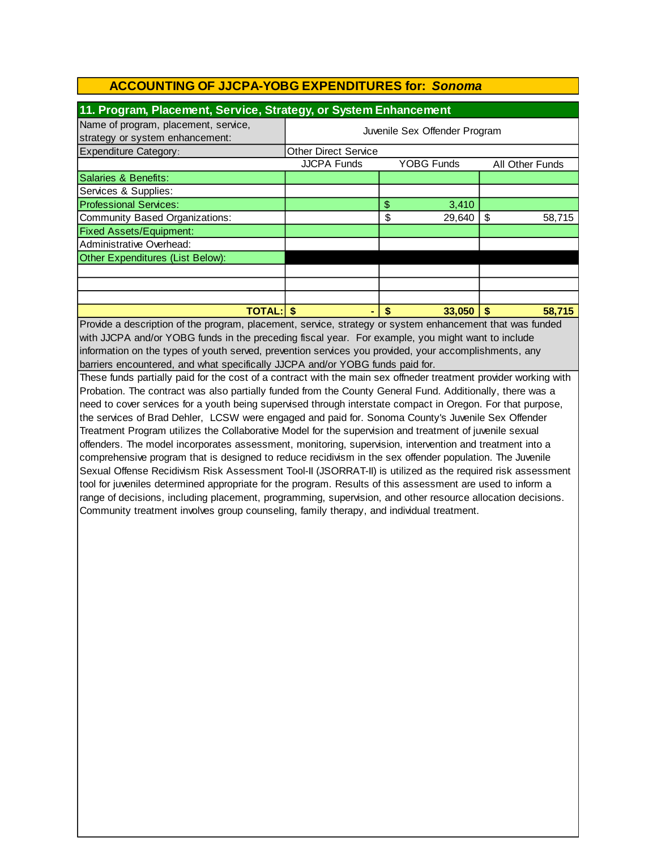| 11. Program, Placement, Service, Strategy, or System Enhancement        |                               |                   |                 |
|-------------------------------------------------------------------------|-------------------------------|-------------------|-----------------|
| Name of program, placement, service,<br>strategy or system enhancement: | Juvenile Sex Offender Program |                   |                 |
| <b>Expenditure Category:</b>                                            | <b>Other Direct Service</b>   |                   |                 |
|                                                                         | <b>JJCPA Funds</b>            | <b>YOBG Funds</b> | All Other Funds |
| Salaries & Benefits:                                                    |                               |                   |                 |
| Services & Supplies:                                                    |                               |                   |                 |
| <b>Professional Services:</b>                                           |                               | \$<br>3,410       |                 |
| Community Based Organizations:                                          |                               | \$<br>29,640      | 58,715<br>\$    |
| <b>Fixed Assets/Equipment:</b>                                          |                               |                   |                 |
| Administrative Overhead:                                                |                               |                   |                 |
| Other Expenditures (List Below):                                        |                               |                   |                 |
|                                                                         |                               |                   |                 |
|                                                                         |                               |                   |                 |
|                                                                         |                               |                   |                 |
| <b>TOTAL:IS</b>                                                         |                               | 33,050            | 58,715          |

Provide a description of the program, placement, service, strategy or system enhancement that was funded with JJCPA and/or YOBG funds in the preceding fiscal year. For example, you might want to include information on the types of youth served, prevention services you provided, your accomplishments, any barriers encountered, and what specifically JJCPA and/or YOBG funds paid for.

These funds partially paid for the cost of a contract with the main sex offneder treatment provider working with Probation. The contract was also partially funded from the County General Fund. Additionally, there was a need to cover services for a youth being supervised through interstate compact in Oregon. For that purpose, the services of Brad Dehler, LCSW were engaged and paid for. Sonoma County's Juvenile Sex Offender Treatment Program utilizes the Collaborative Model for the supervision and treatment of juvenile sexual offenders. The model incorporates assessment, monitoring, supervision, intervention and treatment into a comprehensive program that is designed to reduce recidivism in the sex offender population. The Juvenile Sexual Offense Recidivism Risk Assessment Tool-II (JSORRAT-II) is utilized as the required risk assessment tool for juveniles determined appropriate for the program. Results of this assessment are used to inform a range of decisions, including placement, programming, supervision, and other resource allocation decisions. Community treatment involves group counseling, family therapy, and individual treatment.